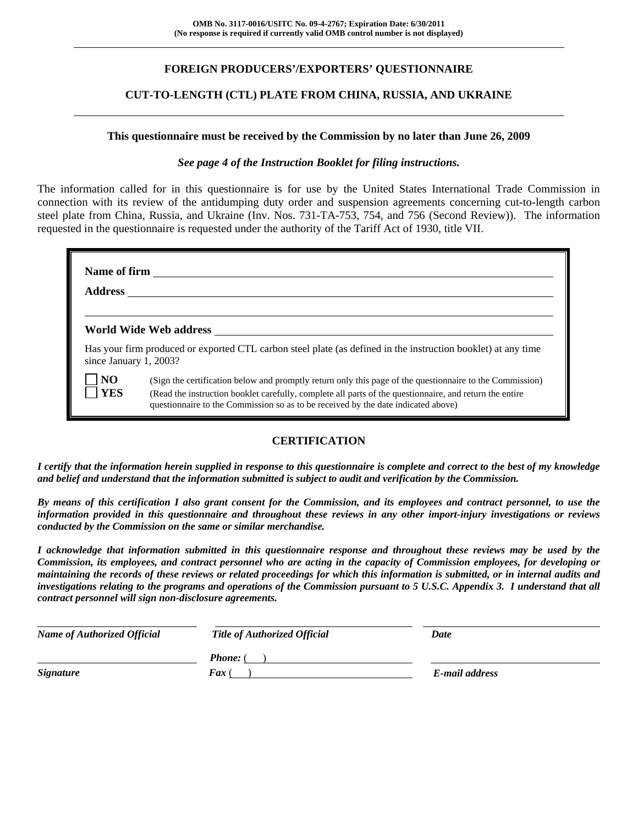## **FOREIGN PRODUCERS'/EXPORTERS' QUESTIONNAIRE**

## **CUT-TO-LENGTH (CTL) PLATE FROM CHINA, RUSSIA, AND UKRAINE**

#### **This questionnaire must be received by the Commission by no later than June 26, 2009**

#### *See page 4 of the Instruction Booklet for filing instructions.*

The information called for in this questionnaire is for use by the United States International Trade Commission in connection with its review of the antidumping duty order and suspension agreements concerning cut-to-length carbon steel plate from China, Russia, and Ukraine (Inv. Nos. 731-TA-753, 754, and 756 (Second Review)). The information requested in the questionnaire is requested under the authority of the Tariff Act of 1930, title VII.

| <b>Address</b>               | Name of firm                                                                                                                                                                                                                                                                                             |
|------------------------------|----------------------------------------------------------------------------------------------------------------------------------------------------------------------------------------------------------------------------------------------------------------------------------------------------------|
|                              | World Wide Web address North States and Second States and States and States and States and States and States and States and States and States and States and States and States and States and States and States and States and                                                                           |
| since January 1, 2003?       | Has your firm produced or exported CTL carbon steel plate (as defined in the instruction booklet) at any time                                                                                                                                                                                            |
| N <sub>O</sub><br><b>YES</b> | (Sign the certification below and promptly return only this page of the questionnaire to the Commission)<br>(Read the instruction booklet carefully, complete all parts of the questionnaire, and return the entire<br>questionnaire to the Commission so as to be received by the date indicated above) |

## **CERTIFICATION**

*I certify that the information herein supplied in response to this questionnaire is complete and correct to the best of my knowledge and belief and understand that the information submitted is subject to audit and verification by the Commission.* 

*By means of this certification I also grant consent for the Commission, and its employees and contract personnel, to use the information provided in this questionnaire and throughout these reviews in any other import-injury investigations or reviews conducted by the Commission on the same or similar merchandise.* 

*I acknowledge that information submitted in this questionnaire response and throughout these reviews may be used by the Commission, its employees, and contract personnel who are acting in the capacity of Commission employees, for developing or maintaining the records of these reviews or related proceedings for which this information is submitted, or in internal audits and investigations relating to the programs and operations of the Commission pursuant to 5 U.S.C. Appendix 3. I understand that all contract personnel will sign non-disclosure agreements.* 

| <b>Name of Authorized Official</b> | <b>Title of Authorized Official</b> | Date           |  |
|------------------------------------|-------------------------------------|----------------|--|
|                                    | <b>Phone:</b> (                     |                |  |
| <i><b>Signature</b></i>            | <b>Fax</b> (                        | E-mail address |  |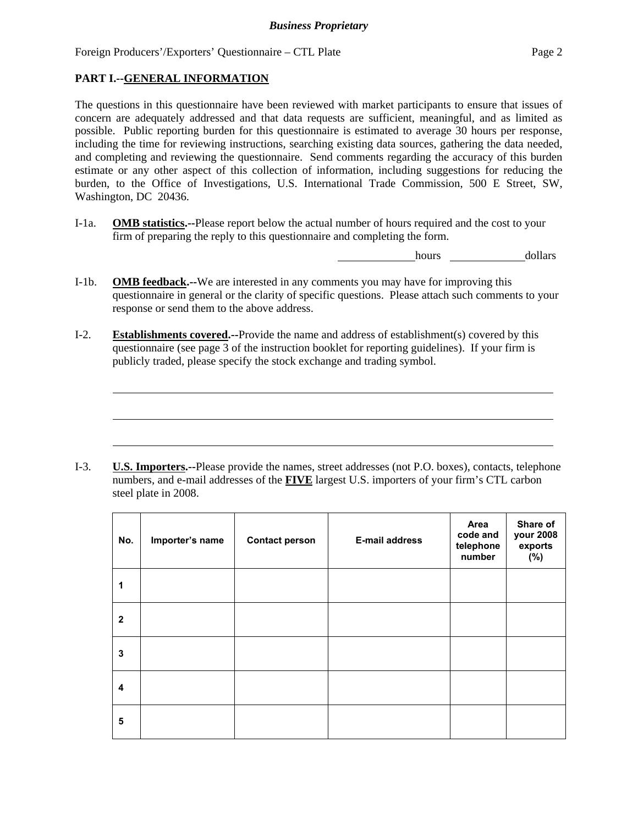## **PART I.--GENERAL INFORMATION**

 $\overline{a}$ 

The questions in this questionnaire have been reviewed with market participants to ensure that issues of concern are adequately addressed and that data requests are sufficient, meaningful, and as limited as possible. Public reporting burden for this questionnaire is estimated to average 30 hours per response, including the time for reviewing instructions, searching existing data sources, gathering the data needed, and completing and reviewing the questionnaire. Send comments regarding the accuracy of this burden estimate or any other aspect of this collection of information, including suggestions for reducing the burden, to the Office of Investigations, U.S. International Trade Commission, 500 E Street, SW, Washington, DC 20436.

I-1a. **OMB statistics.--**Please report below the actual number of hours required and the cost to your firm of preparing the reply to this questionnaire and completing the form.

hours dollars

- I-1b. **OMB feedback.--**We are interested in any comments you may have for improving this questionnaire in general or the clarity of specific questions. Please attach such comments to your response or send them to the above address.
- I-2. **Establishments covered.--**Provide the name and address of establishment(s) covered by this questionnaire (see page 3 of the instruction booklet for reporting guidelines). If your firm is publicly traded, please specify the stock exchange and trading symbol.

I-3. **U.S. Importers.--**Please provide the names, street addresses (not P.O. boxes), contacts, telephone numbers, and e-mail addresses of the **FIVE** largest U.S. importers of your firm's CTL carbon steel plate in 2008.

| No.          | Importer's name | <b>Contact person</b> | <b>E-mail address</b> | Area<br>code and<br>telephone<br>number | Share of<br>your 2008<br>exports<br>(%) |
|--------------|-----------------|-----------------------|-----------------------|-----------------------------------------|-----------------------------------------|
| 1            |                 |                       |                       |                                         |                                         |
| $\mathbf{2}$ |                 |                       |                       |                                         |                                         |
| 3            |                 |                       |                       |                                         |                                         |
| 4            |                 |                       |                       |                                         |                                         |
| 5            |                 |                       |                       |                                         |                                         |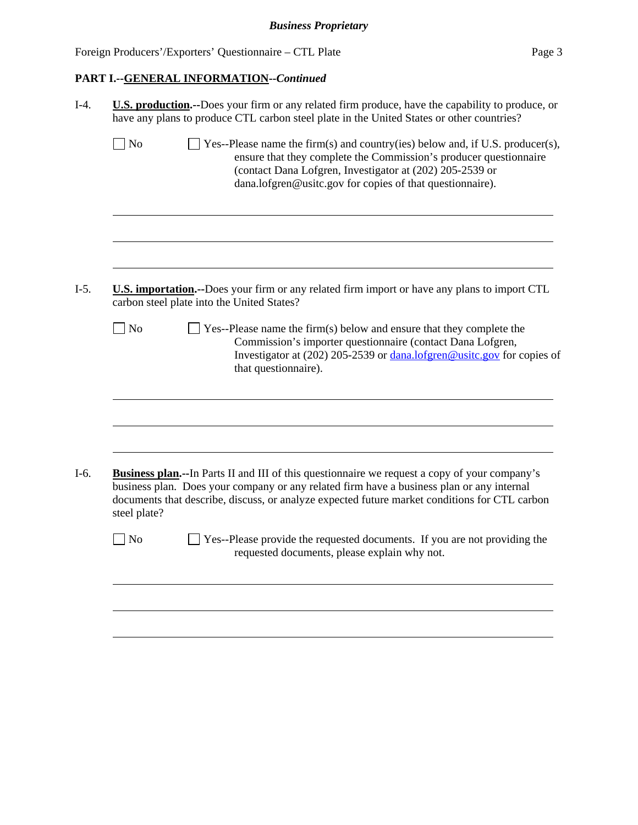## **PART I.--GENERAL INFORMATION--***Continued*

| $\exists$ No<br>ensure that they complete the Commission's producer questionnaire<br>(contact Dana Lofgren, Investigator at (202) 205-2539 or<br>dana.lofgren@usitc.gov for copies of that questionnaire).<br>U.S. importation.--Does your firm or any related firm import or have any plans to import CTL<br>carbon steel plate into the United States?<br>$\Box$ No<br>$\perp$ Yes--Please name the firm(s) below and ensure that they complete the<br>Commission's importer questionnaire (contact Dana Lofgren,<br>that questionnaire).<br><b>Business plan.</b> --In Parts II and III of this questionnaire we request a copy of your company's<br>business plan. Does your company or any related firm have a business plan or any internal<br>documents that describe, discuss, or analyze expected future market conditions for CTL carbon |              | U.S. production.--Does your firm or any related firm produce, have the capability to produce, or<br>have any plans to produce CTL carbon steel plate in the United States or other countries? |
|----------------------------------------------------------------------------------------------------------------------------------------------------------------------------------------------------------------------------------------------------------------------------------------------------------------------------------------------------------------------------------------------------------------------------------------------------------------------------------------------------------------------------------------------------------------------------------------------------------------------------------------------------------------------------------------------------------------------------------------------------------------------------------------------------------------------------------------------------|--------------|-----------------------------------------------------------------------------------------------------------------------------------------------------------------------------------------------|
|                                                                                                                                                                                                                                                                                                                                                                                                                                                                                                                                                                                                                                                                                                                                                                                                                                                    |              | Yes--Please name the firm(s) and country(ies) below and, if U.S. producer(s),                                                                                                                 |
|                                                                                                                                                                                                                                                                                                                                                                                                                                                                                                                                                                                                                                                                                                                                                                                                                                                    |              |                                                                                                                                                                                               |
|                                                                                                                                                                                                                                                                                                                                                                                                                                                                                                                                                                                                                                                                                                                                                                                                                                                    |              |                                                                                                                                                                                               |
|                                                                                                                                                                                                                                                                                                                                                                                                                                                                                                                                                                                                                                                                                                                                                                                                                                                    |              | Investigator at (202) 205-2539 or dana.lofgren@usitc.gov for copies of                                                                                                                        |
|                                                                                                                                                                                                                                                                                                                                                                                                                                                                                                                                                                                                                                                                                                                                                                                                                                                    |              |                                                                                                                                                                                               |
|                                                                                                                                                                                                                                                                                                                                                                                                                                                                                                                                                                                                                                                                                                                                                                                                                                                    | steel plate? |                                                                                                                                                                                               |
| $\Box$ No<br>Yes--Please provide the requested documents. If you are not providing the<br>requested documents, please explain why not.                                                                                                                                                                                                                                                                                                                                                                                                                                                                                                                                                                                                                                                                                                             |              |                                                                                                                                                                                               |
|                                                                                                                                                                                                                                                                                                                                                                                                                                                                                                                                                                                                                                                                                                                                                                                                                                                    |              |                                                                                                                                                                                               |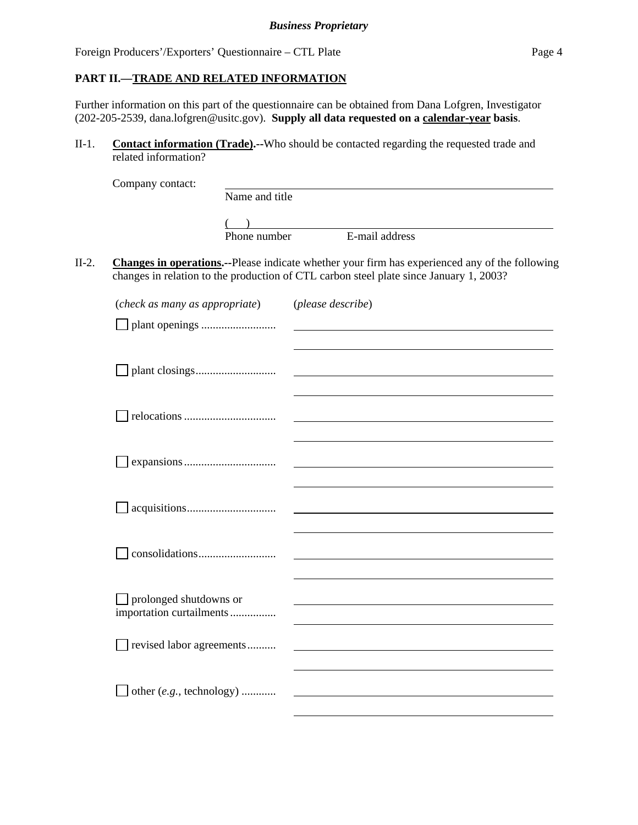### **PART II.—TRADE AND RELATED INFORMATION**

Further information on this part of the questionnaire can be obtained from Dana Lofgren, Investigator (202-205-2539, dana.lofgren@usitc.gov). **Supply all data requested on a calendar-year basis**.

II-1. **Contact information (Trade).--**Who should be contacted regarding the requested trade and related information?

|         | Company contact:                                   | Name and title |                                                                                                                                                                                                  |
|---------|----------------------------------------------------|----------------|--------------------------------------------------------------------------------------------------------------------------------------------------------------------------------------------------|
|         |                                                    |                |                                                                                                                                                                                                  |
|         |                                                    |                |                                                                                                                                                                                                  |
|         |                                                    | Phone number   | E-mail address                                                                                                                                                                                   |
| $II-2.$ |                                                    |                | <b>Changes in operations.</b> --Please indicate whether your firm has experienced any of the following<br>changes in relation to the production of CTL carbon steel plate since January 1, 2003? |
|         | (check as many as appropriate)                     |                | (please describe)                                                                                                                                                                                |
|         |                                                    |                |                                                                                                                                                                                                  |
|         |                                                    |                |                                                                                                                                                                                                  |
|         |                                                    |                |                                                                                                                                                                                                  |
|         |                                                    |                |                                                                                                                                                                                                  |
|         |                                                    |                |                                                                                                                                                                                                  |
|         |                                                    |                |                                                                                                                                                                                                  |
|         | prolonged shutdowns or<br>importation curtailments |                |                                                                                                                                                                                                  |
|         | revised labor agreements                           |                |                                                                                                                                                                                                  |
|         | other $(e.g., \text{ technology})$                 |                |                                                                                                                                                                                                  |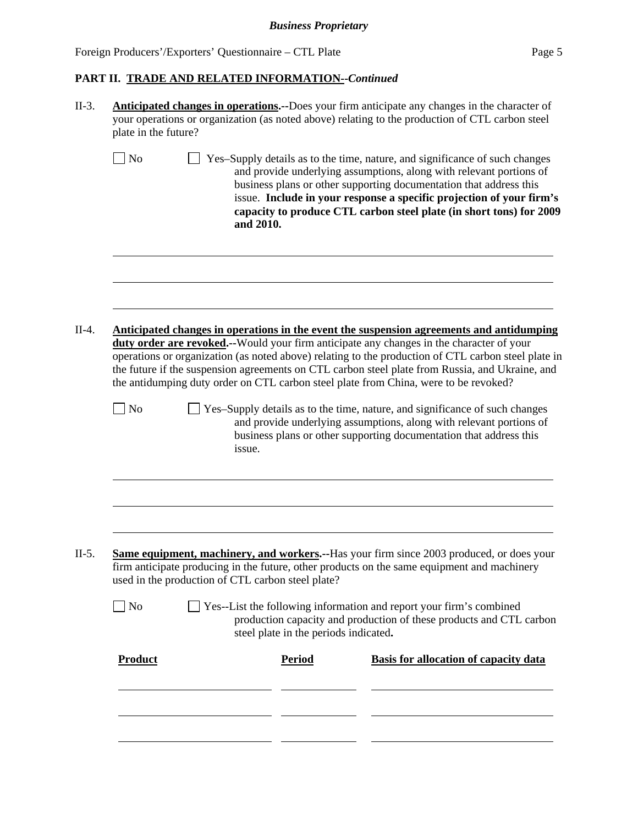## **PART II. TRADE AND RELATED INFORMATION--***Continued*

| N <sub>o</sub><br>N <sub>o</sub> |  | and 2010.<br>issue.                               |               | Yes-Supply details as to the time, nature, and significance of such changes<br>and provide underlying assumptions, along with relevant portions of<br>business plans or other supporting documentation that address this<br>issue. Include in your response a specific projection of your firm's<br>capacity to produce CTL carbon steel plate (in short tons) for 2009<br>Anticipated changes in operations in the event the suspension agreements and antidumping<br>duty order are revoked.--Would your firm anticipate any changes in the character of your<br>operations or organization (as noted above) relating to the production of CTL carbon steel plate in<br>the future if the suspension agreements on CTL carbon steel plate from Russia, and Ukraine, and<br>the antidumping duty order on CTL carbon steel plate from China, were to be revoked?<br>Yes-Supply details as to the time, nature, and significance of such changes<br>and provide underlying assumptions, along with relevant portions of<br>business plans or other supporting documentation that address this |  |
|----------------------------------|--|---------------------------------------------------|---------------|-----------------------------------------------------------------------------------------------------------------------------------------------------------------------------------------------------------------------------------------------------------------------------------------------------------------------------------------------------------------------------------------------------------------------------------------------------------------------------------------------------------------------------------------------------------------------------------------------------------------------------------------------------------------------------------------------------------------------------------------------------------------------------------------------------------------------------------------------------------------------------------------------------------------------------------------------------------------------------------------------------------------------------------------------------------------------------------------------|--|
|                                  |  |                                                   |               |                                                                                                                                                                                                                                                                                                                                                                                                                                                                                                                                                                                                                                                                                                                                                                                                                                                                                                                                                                                                                                                                                               |  |
|                                  |  |                                                   |               |                                                                                                                                                                                                                                                                                                                                                                                                                                                                                                                                                                                                                                                                                                                                                                                                                                                                                                                                                                                                                                                                                               |  |
|                                  |  |                                                   |               |                                                                                                                                                                                                                                                                                                                                                                                                                                                                                                                                                                                                                                                                                                                                                                                                                                                                                                                                                                                                                                                                                               |  |
|                                  |  |                                                   |               |                                                                                                                                                                                                                                                                                                                                                                                                                                                                                                                                                                                                                                                                                                                                                                                                                                                                                                                                                                                                                                                                                               |  |
|                                  |  |                                                   |               |                                                                                                                                                                                                                                                                                                                                                                                                                                                                                                                                                                                                                                                                                                                                                                                                                                                                                                                                                                                                                                                                                               |  |
|                                  |  | used in the production of CTL carbon steel plate? |               | <b>Same equipment, machinery, and workers.</b> --Has your firm since 2003 produced, or does your<br>firm anticipate producing in the future, other products on the same equipment and machinery                                                                                                                                                                                                                                                                                                                                                                                                                                                                                                                                                                                                                                                                                                                                                                                                                                                                                               |  |
| $\Box$ No                        |  | steel plate in the periods indicated.             |               | Yes--List the following information and report your firm's combined<br>production capacity and production of these products and CTL carbon                                                                                                                                                                                                                                                                                                                                                                                                                                                                                                                                                                                                                                                                                                                                                                                                                                                                                                                                                    |  |
| <b>Product</b>                   |  |                                                   | <b>Period</b> | <b>Basis for allocation of capacity data</b>                                                                                                                                                                                                                                                                                                                                                                                                                                                                                                                                                                                                                                                                                                                                                                                                                                                                                                                                                                                                                                                  |  |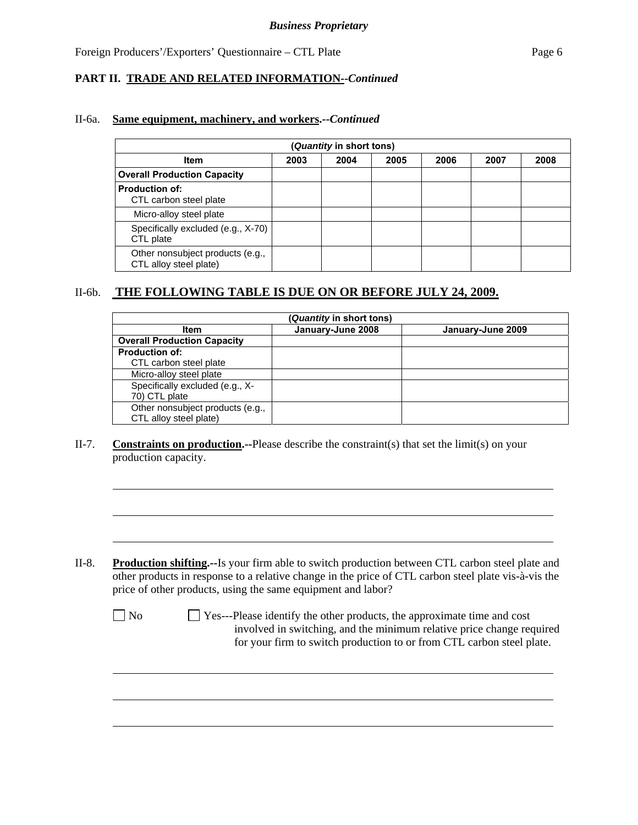## **PART II. TRADE AND RELATED INFORMATION--***Continued*

#### II-6a. **Same equipment, machinery, and workers.--***Continued*

| (Quantity in short tons)                                   |      |      |      |      |      |      |  |
|------------------------------------------------------------|------|------|------|------|------|------|--|
| <b>Item</b>                                                | 2003 | 2004 | 2005 | 2006 | 2007 | 2008 |  |
| <b>Overall Production Capacity</b>                         |      |      |      |      |      |      |  |
| <b>Production of:</b><br>CTL carbon steel plate            |      |      |      |      |      |      |  |
| Micro-alloy steel plate                                    |      |      |      |      |      |      |  |
| Specifically excluded (e.g., X-70)<br>CTL plate            |      |      |      |      |      |      |  |
| Other nonsubject products (e.g.,<br>CTL alloy steel plate) |      |      |      |      |      |      |  |

## II-6b. **THE FOLLOWING TABLE IS DUE ON OR BEFORE JULY 24, 2009.**

| (Quantity in short tons)           |                   |                   |  |  |  |  |  |
|------------------------------------|-------------------|-------------------|--|--|--|--|--|
| <b>Item</b>                        | January-June 2008 | January-June 2009 |  |  |  |  |  |
| <b>Overall Production Capacity</b> |                   |                   |  |  |  |  |  |
| <b>Production of:</b>              |                   |                   |  |  |  |  |  |
| CTL carbon steel plate             |                   |                   |  |  |  |  |  |
| Micro-alloy steel plate            |                   |                   |  |  |  |  |  |
| Specifically excluded (e.g., X-    |                   |                   |  |  |  |  |  |
| 70) CTL plate                      |                   |                   |  |  |  |  |  |
| Other nonsubject products (e.g.,   |                   |                   |  |  |  |  |  |
| CTL alloy steel plate)             |                   |                   |  |  |  |  |  |

### II-7. **Constraints on production.--**Please describe the constraint(s) that set the limit(s) on your production capacity.

II-8. **Production shifting.--**Is your firm able to switch production between CTL carbon steel plate and other products in response to a relative change in the price of CTL carbon steel plate vis-à-vis the price of other products, using the same equipment and labor?

|  | ×<br>v |
|--|--------|
|--|--------|

l

 $\overline{a}$ 

 $\Box$  Yes---Please identify the other products, the approximate time and cost involved in switching, and the minimum relative price change required for your firm to switch production to or from CTL carbon steel plate.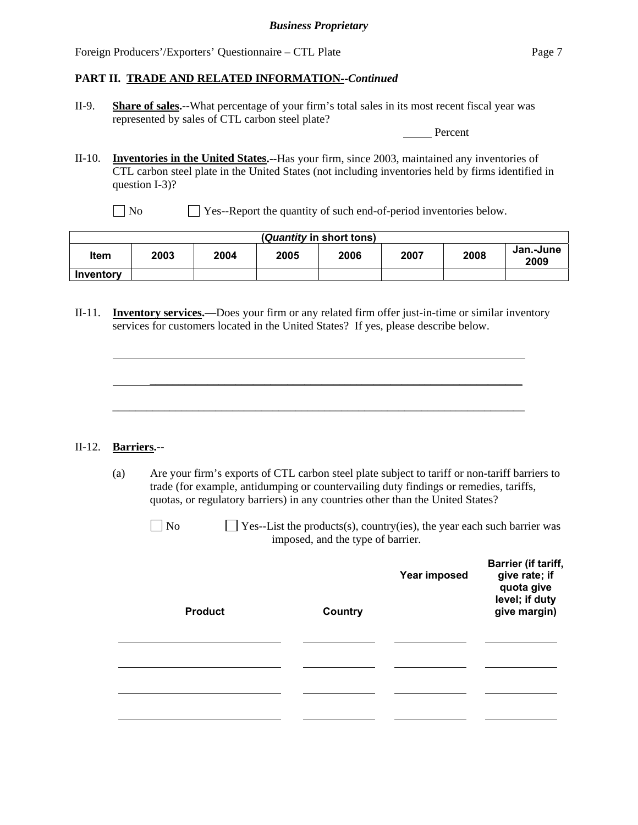### **PART II. TRADE AND RELATED INFORMATION--***Continued*

II-9. **Share of sales.--**What percentage of your firm's total sales in its most recent fiscal year was represented by sales of CTL carbon steel plate?

Percent

- II-10. **Inventories in the United States.--**Has your firm, since 2003, maintained any inventories of CTL carbon steel plate in the United States (not including inventories held by firms identified in question I-3)?
	- No Ses-Report the quantity of such end-of-period inventories below.

| (Quantity in short tons) |      |      |      |      |      |      |                   |  |
|--------------------------|------|------|------|------|------|------|-------------------|--|
| ltem                     | 2003 | 2004 | 2005 | 2006 | 2007 | 2008 | Jan.-June<br>2009 |  |
| Inventory                |      |      |      |      |      |      |                   |  |

II-11. **Inventory services.—**Does your firm or any related firm offer just-in-time or similar inventory services for customers located in the United States? If yes, please describe below.

\_\_\_\_\_\_\_\_\_\_\_\_\_\_\_\_\_\_\_\_\_\_\_\_\_\_\_\_\_\_\_\_\_\_\_\_\_\_\_\_\_\_\_\_\_\_\_\_\_\_\_\_\_\_\_\_\_\_\_\_\_\_\_\_\_

\_\_\_\_\_\_\_\_\_\_\_\_\_\_\_\_\_\_\_\_\_\_\_\_\_\_\_\_\_\_\_\_\_\_\_\_\_\_\_\_\_\_\_\_\_\_\_\_\_\_\_\_\_\_\_\_\_\_\_\_\_\_\_\_\_\_\_\_\_\_\_\_

#### II-12. **Barriers.--**

l

l

l

l

l

(a) Are your firm's exports of CTL carbon steel plate subject to tariff or non-tariff barriers to trade (for example, antidumping or countervailing duty findings or remedies, tariffs, quotas, or regulatory barriers) in any countries other than the United States?

| $\Box$ No | $\Box$ Yes--List the products(s), country(ies), the year each such barrier was |
|-----------|--------------------------------------------------------------------------------|
|           | imposed, and the type of barrier.                                              |

| <b>Product</b> | Country | Year imposed | <b>Barrier (if tariff,</b><br>give rate; if<br>quota give<br>level; if duty<br>give margin) |
|----------------|---------|--------------|---------------------------------------------------------------------------------------------|
|                |         |              |                                                                                             |
|                |         |              |                                                                                             |
|                |         |              |                                                                                             |
|                |         |              |                                                                                             |
|                |         |              |                                                                                             |
|                |         |              |                                                                                             |
|                |         |              |                                                                                             |
|                |         |              |                                                                                             |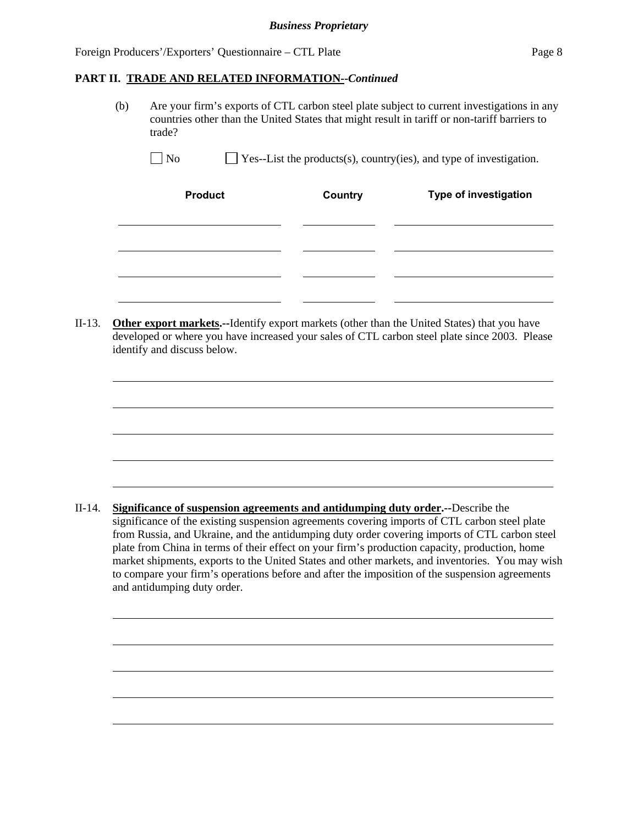$\overline{a}$ 

 $\overline{a}$ 

#### **PART II. TRADE AND RELATED INFORMATION--***Continued*

 (b) Are your firm's exports of CTL carbon steel plate subject to current investigations in any countries other than the United States that might result in tariff or non-tariff barriers to trade?

 $\Box$  No  $\Box$  Yes--List the products(s), country(ies), and type of investigation.

| <b>Product</b> | <b>Country</b> | Type of investigation |
|----------------|----------------|-----------------------|
|                |                |                       |
|                |                |                       |
|                |                |                       |
|                |                |                       |

II-13. **Other export markets.--**Identify export markets (other than the United States) that you have developed or where you have increased your sales of CTL carbon steel plate since 2003. Please identify and discuss below.

II-14. **Significance of suspension agreements and antidumping duty order.--**Describe the significance of the existing suspension agreements covering imports of CTL carbon steel plate from Russia, and Ukraine, and the antidumping duty order covering imports of CTL carbon steel plate from China in terms of their effect on your firm's production capacity, production, home market shipments, exports to the United States and other markets, and inventories. You may wish to compare your firm's operations before and after the imposition of the suspension agreements and antidumping duty order.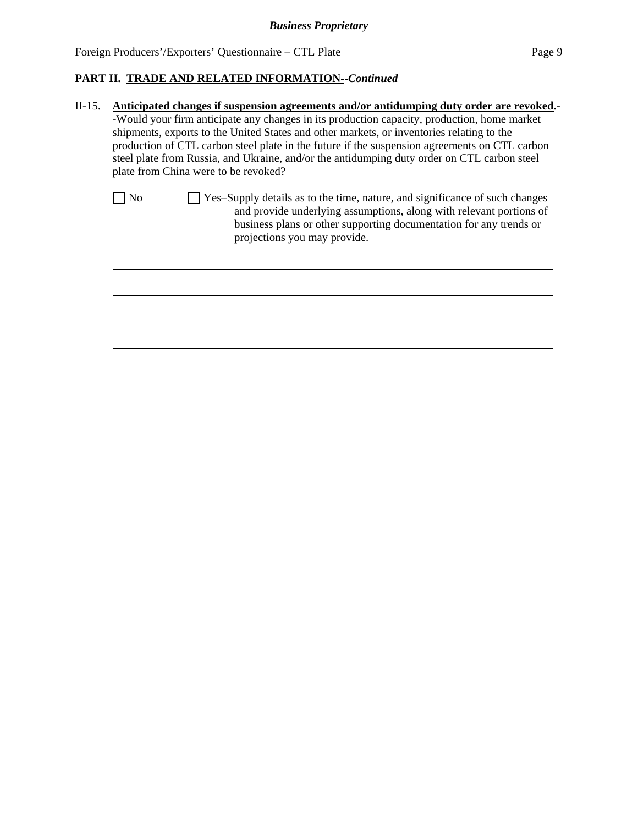## **PART II. TRADE AND RELATED INFORMATION--***Continued*

| $II-15.$ |    | Anticipated changes if suspension agreements and/or antidumping duty order are revoked.-                                                                                                                                                                 |  |  |  |  |  |  |
|----------|----|----------------------------------------------------------------------------------------------------------------------------------------------------------------------------------------------------------------------------------------------------------|--|--|--|--|--|--|
|          |    | -Would your firm anticipate any changes in its production capacity, production, home market<br>shipments, exports to the United States and other markets, or inventories relating to the                                                                 |  |  |  |  |  |  |
|          |    | production of CTL carbon steel plate in the future if the suspension agreements on CTL carbon<br>steel plate from Russia, and Ukraine, and/or the antidumping duty order on CTL carbon steel<br>plate from China were to be revoked?                     |  |  |  |  |  |  |
|          | No | Yes-Supply details as to the time, nature, and significance of such changes<br>and provide underlying assumptions, along with relevant portions of<br>business plans or other supporting documentation for any trends or<br>projections you may provide. |  |  |  |  |  |  |
|          |    |                                                                                                                                                                                                                                                          |  |  |  |  |  |  |
|          |    |                                                                                                                                                                                                                                                          |  |  |  |  |  |  |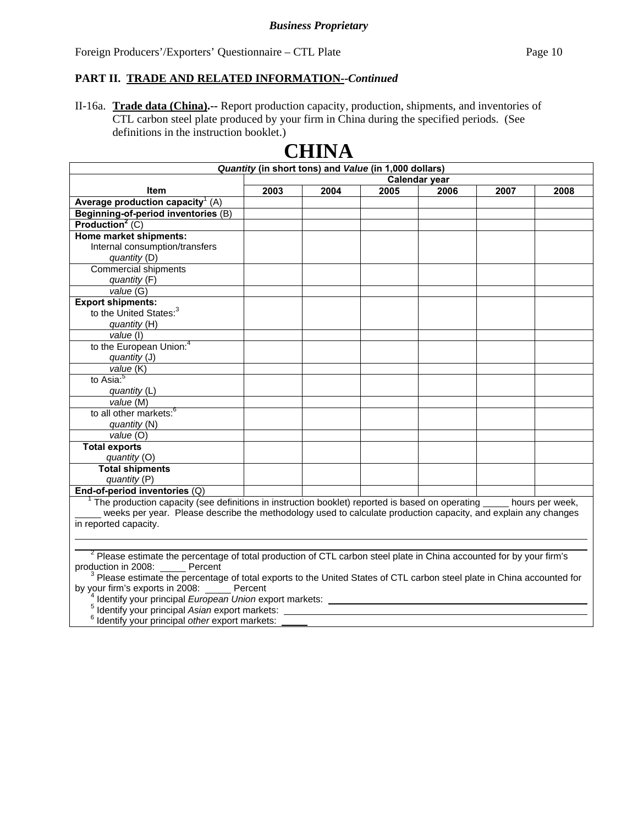### **PART II. TRADE AND RELATED INFORMATION--***Continued*

II-16a. **Trade data (China).--** Report production capacity, production, shipments, and inventories of CTL carbon steel plate produced by your firm in China during the specified periods. (See definitions in the instruction booklet.)

|                                                                                                                       |               | CIIIITA |      |      |      |      |
|-----------------------------------------------------------------------------------------------------------------------|---------------|---------|------|------|------|------|
| Quantity (in short tons) and Value (in 1,000 dollars)                                                                 |               |         |      |      |      |      |
|                                                                                                                       | Calendar year |         |      |      |      |      |
| <b>Item</b>                                                                                                           | 2003          | 2004    | 2005 | 2006 | 2007 | 2008 |
| Average production capacity <sup>1</sup> $(A)$                                                                        |               |         |      |      |      |      |
| Beginning-of-period inventories (B)                                                                                   |               |         |      |      |      |      |
| Production <sup>2</sup> (C)                                                                                           |               |         |      |      |      |      |
| Home market shipments:                                                                                                |               |         |      |      |      |      |
| Internal consumption/transfers                                                                                        |               |         |      |      |      |      |
| quantity (D)                                                                                                          |               |         |      |      |      |      |
| <b>Commercial shipments</b>                                                                                           |               |         |      |      |      |      |
| quantity (F)                                                                                                          |               |         |      |      |      |      |
| value(G)                                                                                                              |               |         |      |      |      |      |
| <b>Export shipments:</b>                                                                                              |               |         |      |      |      |      |
| to the United States: <sup>3</sup>                                                                                    |               |         |      |      |      |      |
| quantity (H)                                                                                                          |               |         |      |      |      |      |
| value (I)                                                                                                             |               |         |      |      |      |      |
| to the European Union: <sup>4</sup>                                                                                   |               |         |      |      |      |      |
| quantity (J)                                                                                                          |               |         |      |      |      |      |
| value (K)                                                                                                             |               |         |      |      |      |      |
| to $\overline{Asia:}^5$                                                                                               |               |         |      |      |      |      |
| quantity (L)                                                                                                          |               |         |      |      |      |      |
| value (M)                                                                                                             |               |         |      |      |      |      |
| to all other markets: <sup>6</sup>                                                                                    |               |         |      |      |      |      |
| quantity (N)                                                                                                          |               |         |      |      |      |      |
| value(0)                                                                                                              |               |         |      |      |      |      |
| <b>Total exports</b>                                                                                                  |               |         |      |      |      |      |
| quantity (O)                                                                                                          |               |         |      |      |      |      |
| <b>Total shipments</b>                                                                                                |               |         |      |      |      |      |
| quantity (P)                                                                                                          |               |         |      |      |      |      |
| End-of-period inventories (Q)                                                                                         |               |         |      |      |      |      |
| The production capacity (see definitions in instruction booklet) reported is based on operating _____ hours per week, |               |         |      |      |      |      |
| weeks per year. Please describe the methodology used to calculate production capacity, and explain any changes        |               |         |      |      |      |      |
| in reported capacity.                                                                                                 |               |         |      |      |      |      |

## **CHINA**

 $2$  Please estimate the percentage of total production of CTL carbon steel plate in China accounted for by your firm's

production in 2008: \_\_\_\_\_\_ Percent<br><sup>3</sup> Please estimate the percentage of total exports to the United States of CTL carbon steel plate in China accounted for by your firm's exports in 2008: Percent

<sup>4</sup> Identify your principal *European Union* export markets:<br><sup>5</sup> Identify your principal *Acion ovnert markets:* 

Identify your principal *Asian* export markets: 6 Identify your principal *other* export markets:

 $\overline{a}$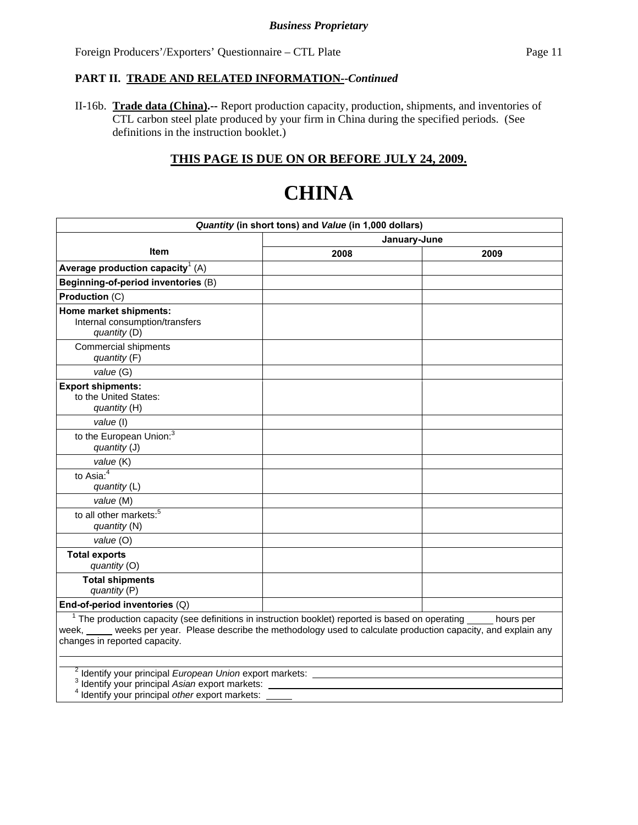## **PART II. TRADE AND RELATED INFORMATION--***Continued*

II-16b. **Trade data (China).--** Report production capacity, production, shipments, and inventories of CTL carbon steel plate produced by your firm in China during the specified periods. (See definitions in the instruction booklet.)

## **THIS PAGE IS DUE ON OR BEFORE JULY 24, 2009.**

# **CHINA**

| Quantity (in short tons) and Value (in 1,000 dollars)                                                                                                                                                                                                                   |              |      |  |  |  |
|-------------------------------------------------------------------------------------------------------------------------------------------------------------------------------------------------------------------------------------------------------------------------|--------------|------|--|--|--|
|                                                                                                                                                                                                                                                                         | January-June |      |  |  |  |
| <b>Item</b>                                                                                                                                                                                                                                                             | 2008         | 2009 |  |  |  |
| Average production capacity <sup>1</sup> (A)                                                                                                                                                                                                                            |              |      |  |  |  |
| Beginning-of-period inventories (B)                                                                                                                                                                                                                                     |              |      |  |  |  |
| Production (C)                                                                                                                                                                                                                                                          |              |      |  |  |  |
| Home market shipments:<br>Internal consumption/transfers<br>quantity (D)                                                                                                                                                                                                |              |      |  |  |  |
| Commercial shipments<br>quantity (F)                                                                                                                                                                                                                                    |              |      |  |  |  |
| value (G)                                                                                                                                                                                                                                                               |              |      |  |  |  |
| <b>Export shipments:</b><br>to the United States:<br>quantity (H)                                                                                                                                                                                                       |              |      |  |  |  |
| value (I)                                                                                                                                                                                                                                                               |              |      |  |  |  |
| to the European Union: <sup>3</sup><br>quantity (J)                                                                                                                                                                                                                     |              |      |  |  |  |
| value (K)                                                                                                                                                                                                                                                               |              |      |  |  |  |
| to Asia: $4$<br>quantity (L)                                                                                                                                                                                                                                            |              |      |  |  |  |
| value (M)                                                                                                                                                                                                                                                               |              |      |  |  |  |
| to all other markets: <sup>5</sup><br>quantity (N)                                                                                                                                                                                                                      |              |      |  |  |  |
| value (O)                                                                                                                                                                                                                                                               |              |      |  |  |  |
| <b>Total exports</b><br>quantity (O)                                                                                                                                                                                                                                    |              |      |  |  |  |
| <b>Total shipments</b><br>quantity (P)                                                                                                                                                                                                                                  |              |      |  |  |  |
| End-of-period inventories (Q)                                                                                                                                                                                                                                           |              |      |  |  |  |
| $1$ The production capacity (see definitions in instruction booklet) reported is based on operating $\qquad$ hours per<br>week, weeks per year. Please describe the methodology used to calculate production capacity, and explain any<br>changes in reported capacity. |              |      |  |  |  |
| <sup>2</sup> Identify your principal European Union export markets: ____<br><sup>3</sup> Identify your principal Asian export markets: _____<br><sup>4</sup> Identify your principal other export markets:                                                              |              |      |  |  |  |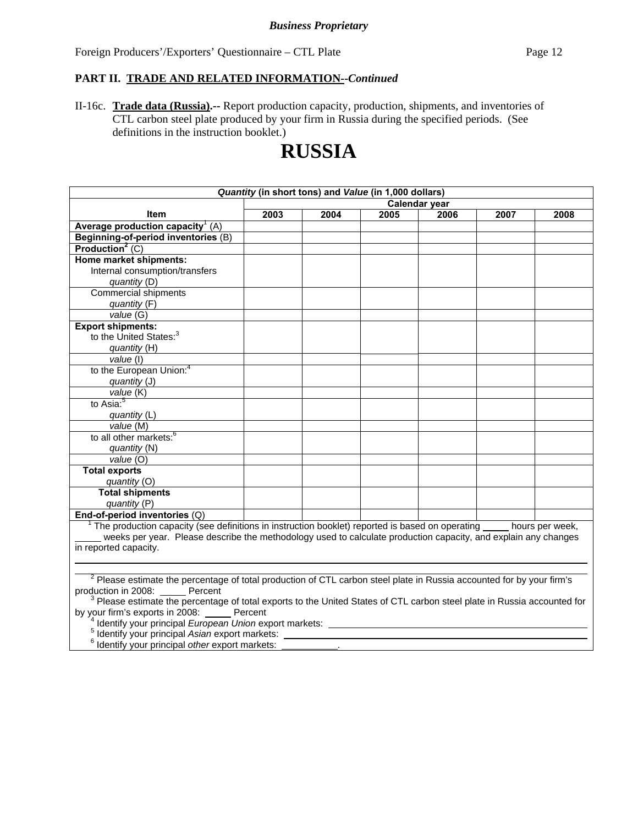## **PART II. TRADE AND RELATED INFORMATION--***Continued*

II-16c. **Trade data (Russia).--** Report production capacity, production, shipments, and inventories of CTL carbon steel plate produced by your firm in Russia during the specified periods. (See definitions in the instruction booklet.)

## **RUSSIA**

| Quantity (in short tons) and Value (in 1,000 dollars)                                                                            |               |      |      |      |      |      |
|----------------------------------------------------------------------------------------------------------------------------------|---------------|------|------|------|------|------|
|                                                                                                                                  | Calendar year |      |      |      |      |      |
| Item                                                                                                                             | 2003          | 2004 | 2005 | 2006 | 2007 | 2008 |
| Average production capacity <sup>1</sup> $(A)$                                                                                   |               |      |      |      |      |      |
| Beginning-of-period inventories (B)                                                                                              |               |      |      |      |      |      |
| Production <sup>2</sup> (C)                                                                                                      |               |      |      |      |      |      |
| Home market shipments:                                                                                                           |               |      |      |      |      |      |
| Internal consumption/transfers                                                                                                   |               |      |      |      |      |      |
| quantity (D)                                                                                                                     |               |      |      |      |      |      |
| <b>Commercial shipments</b>                                                                                                      |               |      |      |      |      |      |
| quantity (F)                                                                                                                     |               |      |      |      |      |      |
| value (G)                                                                                                                        |               |      |      |      |      |      |
| <b>Export shipments:</b>                                                                                                         |               |      |      |      |      |      |
| to the United States: <sup>3</sup>                                                                                               |               |      |      |      |      |      |
| quantity (H)                                                                                                                     |               |      |      |      |      |      |
| value (I)                                                                                                                        |               |      |      |      |      |      |
| to the European Union: <sup>4</sup>                                                                                              |               |      |      |      |      |      |
| quantity (J)                                                                                                                     |               |      |      |      |      |      |
| value (K)                                                                                                                        |               |      |      |      |      |      |
| to Asia: <sup>5</sup>                                                                                                            |               |      |      |      |      |      |
| quantity (L)                                                                                                                     |               |      |      |      |      |      |
| value (M)                                                                                                                        |               |      |      |      |      |      |
| to all other markets: <sup>6</sup>                                                                                               |               |      |      |      |      |      |
| quantity (N)                                                                                                                     |               |      |      |      |      |      |
| value(0)                                                                                                                         |               |      |      |      |      |      |
| <b>Total exports</b>                                                                                                             |               |      |      |      |      |      |
| quantity (O)                                                                                                                     |               |      |      |      |      |      |
| <b>Total shipments</b>                                                                                                           |               |      |      |      |      |      |
| quantity (P)                                                                                                                     |               |      |      |      |      |      |
| End-of-period inventories $(Q)$                                                                                                  |               |      |      |      |      |      |
| $1$ The production capacity (see definitions in instruction booklet) reported is based on operating hours per week,              |               |      |      |      |      |      |
| weeks per year. Please describe the methodology used to calculate production capacity, and explain any changes                   |               |      |      |      |      |      |
| in reported capacity.                                                                                                            |               |      |      |      |      |      |
|                                                                                                                                  |               |      |      |      |      |      |
|                                                                                                                                  |               |      |      |      |      |      |
| <sup>2</sup> Please estimate the percentage of total production of CTL carbon steel plate in Russia accounted for by your firm's |               |      |      |      |      |      |
| production in 2008: Percent                                                                                                      |               |      |      |      |      |      |
| $3$ Please estimate the percentage of total exports to the United States of CTL carbon steel plate in Russia accounted for       |               |      |      |      |      |      |
| by your firm's exports in 2008: Percent<br>Identify your principal European Union export markets: ______                         |               |      |      |      |      |      |
| Identify your principal Asian export markets:                                                                                    |               |      |      |      |      |      |
| Identify your principal other export markets:                                                                                    |               |      |      |      |      |      |
|                                                                                                                                  |               |      |      |      |      |      |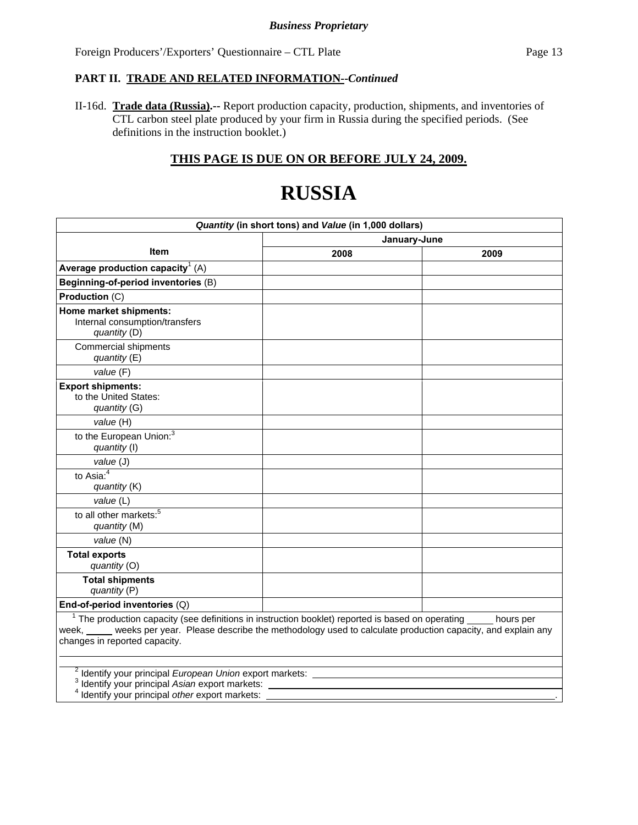## **PART II. TRADE AND RELATED INFORMATION--***Continued*

II-16d. **Trade data (Russia).--** Report production capacity, production, shipments, and inventories of CTL carbon steel plate produced by your firm in Russia during the specified periods. (See definitions in the instruction booklet.)

## **THIS PAGE IS DUE ON OR BEFORE JULY 24, 2009.**

# **RUSSIA**

| Quantity (in short tons) and Value (in 1,000 dollars)                                                                                                                                                                                                    |              |           |  |  |  |
|----------------------------------------------------------------------------------------------------------------------------------------------------------------------------------------------------------------------------------------------------------|--------------|-----------|--|--|--|
|                                                                                                                                                                                                                                                          | January-June |           |  |  |  |
| <b>Item</b>                                                                                                                                                                                                                                              | 2008         | 2009      |  |  |  |
| Average production capacity <sup>1</sup> (A)                                                                                                                                                                                                             |              |           |  |  |  |
| Beginning-of-period inventories (B)                                                                                                                                                                                                                      |              |           |  |  |  |
| Production (C)                                                                                                                                                                                                                                           |              |           |  |  |  |
| Home market shipments:<br>Internal consumption/transfers<br>quantity (D)                                                                                                                                                                                 |              |           |  |  |  |
| Commercial shipments<br>quantity (E)                                                                                                                                                                                                                     |              |           |  |  |  |
| value (F)                                                                                                                                                                                                                                                |              |           |  |  |  |
| <b>Export shipments:</b><br>to the United States:<br>quantity (G)                                                                                                                                                                                        |              |           |  |  |  |
| value (H)                                                                                                                                                                                                                                                |              |           |  |  |  |
| to the European Union: <sup>3</sup><br>quantity (I)                                                                                                                                                                                                      |              |           |  |  |  |
| value (J)                                                                                                                                                                                                                                                |              |           |  |  |  |
| to Asia: $\frac{4}{4}$<br>quantity (K)                                                                                                                                                                                                                   |              |           |  |  |  |
| value (L)                                                                                                                                                                                                                                                |              |           |  |  |  |
| to all other markets: <sup>5</sup><br>quantity (M)                                                                                                                                                                                                       |              |           |  |  |  |
| value (N)                                                                                                                                                                                                                                                |              |           |  |  |  |
| <b>Total exports</b><br>quantity (O)                                                                                                                                                                                                                     |              |           |  |  |  |
| <b>Total shipments</b><br>quantity (P)                                                                                                                                                                                                                   |              |           |  |  |  |
| End-of-period inventories (Q)                                                                                                                                                                                                                            |              |           |  |  |  |
| $1$ The production capacity (see definitions in instruction booklet) reported is based on operating $_$<br>week, weeks per year. Please describe the methodology used to calculate production capacity, and explain any<br>changes in reported capacity. |              | hours per |  |  |  |
| <sup>4</sup> Identify your principal other export markets:                                                                                                                                                                                               |              |           |  |  |  |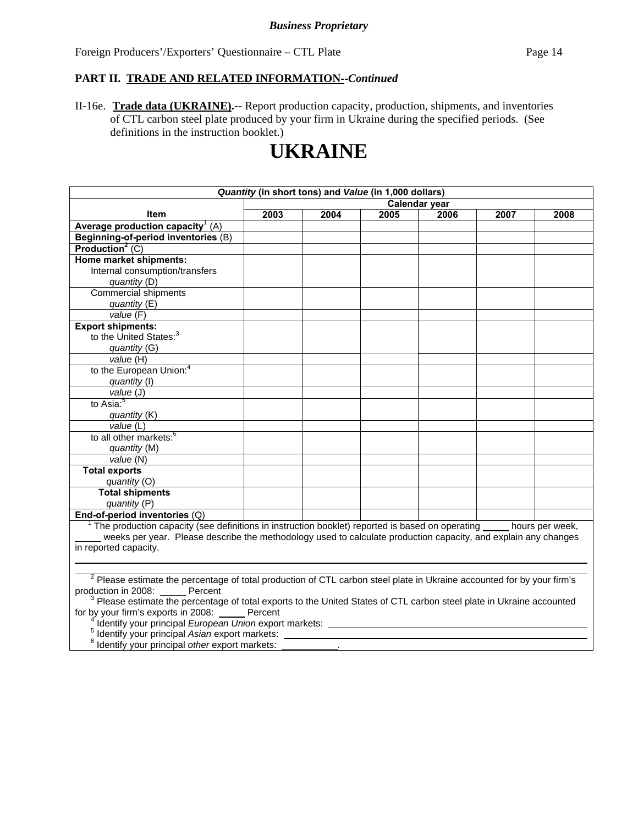## **PART II. TRADE AND RELATED INFORMATION--***Continued*

II-16e. **Trade data (UKRAINE).--** Report production capacity, production, shipments, and inventories of CTL carbon steel plate produced by your firm in Ukraine during the specified periods. (See definitions in the instruction booklet.)

## **UKRAINE**

| Quantity (in short tons) and Value (in 1,000 dollars)                                                                                                                           |               |      |      |      |      |      |
|---------------------------------------------------------------------------------------------------------------------------------------------------------------------------------|---------------|------|------|------|------|------|
|                                                                                                                                                                                 | Calendar year |      |      |      |      |      |
| Item                                                                                                                                                                            | 2003          | 2004 | 2005 | 2006 | 2007 | 2008 |
| Average production capacity <sup>1</sup> (A)                                                                                                                                    |               |      |      |      |      |      |
| Beginning-of-period inventories (B)                                                                                                                                             |               |      |      |      |      |      |
| Production <sup>2</sup> $(C)$                                                                                                                                                   |               |      |      |      |      |      |
| Home market shipments:                                                                                                                                                          |               |      |      |      |      |      |
| Internal consumption/transfers                                                                                                                                                  |               |      |      |      |      |      |
| quantity (D)                                                                                                                                                                    |               |      |      |      |      |      |
| <b>Commercial shipments</b>                                                                                                                                                     |               |      |      |      |      |      |
| quantity(E)                                                                                                                                                                     |               |      |      |      |      |      |
| value(F)                                                                                                                                                                        |               |      |      |      |      |      |
| <b>Export shipments:</b>                                                                                                                                                        |               |      |      |      |      |      |
| to the United States: <sup>3</sup>                                                                                                                                              |               |      |      |      |      |      |
| quantity (G)                                                                                                                                                                    |               |      |      |      |      |      |
| value (H)                                                                                                                                                                       |               |      |      |      |      |      |
| to the European Union: <sup>4</sup>                                                                                                                                             |               |      |      |      |      |      |
| quantity (I)                                                                                                                                                                    |               |      |      |      |      |      |
| value (J)                                                                                                                                                                       |               |      |      |      |      |      |
| to Asia: <sup>5</sup>                                                                                                                                                           |               |      |      |      |      |      |
| quantity (K)                                                                                                                                                                    |               |      |      |      |      |      |
| value(L)                                                                                                                                                                        |               |      |      |      |      |      |
| to all other markets: <sup>6</sup>                                                                                                                                              |               |      |      |      |      |      |
| quantity (M)                                                                                                                                                                    |               |      |      |      |      |      |
| value(N)                                                                                                                                                                        |               |      |      |      |      |      |
| <b>Total exports</b>                                                                                                                                                            |               |      |      |      |      |      |
| quantity (O)                                                                                                                                                                    |               |      |      |      |      |      |
| <b>Total shipments</b>                                                                                                                                                          |               |      |      |      |      |      |
| quantity (P)                                                                                                                                                                    |               |      |      |      |      |      |
| End-of-period inventories $(Q)$                                                                                                                                                 |               |      |      |      |      |      |
| $1$ The production capacity (see definitions in instruction booklet) reported is based on operating $\_\_$ hours per week,                                                      |               |      |      |      |      |      |
| weeks per year. Please describe the methodology used to calculate production capacity, and explain any changes                                                                  |               |      |      |      |      |      |
| in reported capacity.                                                                                                                                                           |               |      |      |      |      |      |
|                                                                                                                                                                                 |               |      |      |      |      |      |
| <sup>2</sup> Please estimate the percentage of total production of CTL carbon steel plate in Ukraine accounted for by your firm's                                               |               |      |      |      |      |      |
| production in 2008: Percent                                                                                                                                                     |               |      |      |      |      |      |
|                                                                                                                                                                                 |               |      |      |      |      |      |
| <sup>3</sup> Please estimate the percentage of total exports to the United States of CTL carbon steel plate in Ukraine accounted<br>for by your firm's exports in 2008: Percent |               |      |      |      |      |      |
| Identify your principal European Union export markets:                                                                                                                          |               |      |      |      |      |      |
| Identify your principal Asian export markets:                                                                                                                                   |               |      |      |      |      |      |
| Identify your principal other export markets:                                                                                                                                   |               |      |      |      |      |      |
|                                                                                                                                                                                 |               |      |      |      |      |      |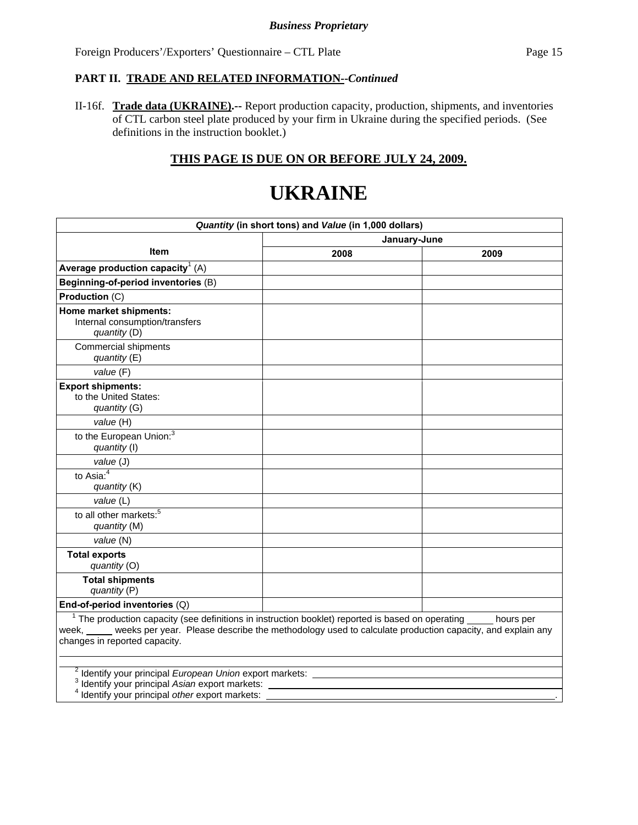## **PART II. TRADE AND RELATED INFORMATION--***Continued*

II-16f. **Trade data (UKRAINE).--** Report production capacity, production, shipments, and inventories of CTL carbon steel plate produced by your firm in Ukraine during the specified periods. (See definitions in the instruction booklet.)

## **THIS PAGE IS DUE ON OR BEFORE JULY 24, 2009.**

## **UKRAINE**

| Quantity (in short tons) and Value (in 1,000 dollars)                                                                                                                                                                                                                 |              |      |  |  |  |
|-----------------------------------------------------------------------------------------------------------------------------------------------------------------------------------------------------------------------------------------------------------------------|--------------|------|--|--|--|
|                                                                                                                                                                                                                                                                       | January-June |      |  |  |  |
| <b>Item</b>                                                                                                                                                                                                                                                           | 2008         | 2009 |  |  |  |
| Average production capacity <sup>1</sup> (A)                                                                                                                                                                                                                          |              |      |  |  |  |
| Beginning-of-period inventories (B)                                                                                                                                                                                                                                   |              |      |  |  |  |
| Production (C)                                                                                                                                                                                                                                                        |              |      |  |  |  |
| Home market shipments:<br>Internal consumption/transfers<br>quantity (D)                                                                                                                                                                                              |              |      |  |  |  |
| Commercial shipments<br>quantity (E)                                                                                                                                                                                                                                  |              |      |  |  |  |
| value (F)                                                                                                                                                                                                                                                             |              |      |  |  |  |
| <b>Export shipments:</b><br>to the United States:<br>quantity (G)                                                                                                                                                                                                     |              |      |  |  |  |
| value (H)                                                                                                                                                                                                                                                             |              |      |  |  |  |
| to the European Union: <sup>3</sup><br>quantity (I)                                                                                                                                                                                                                   |              |      |  |  |  |
| value (J)                                                                                                                                                                                                                                                             |              |      |  |  |  |
| to Asia: $4$<br>quantity (K)                                                                                                                                                                                                                                          |              |      |  |  |  |
| value (L)                                                                                                                                                                                                                                                             |              |      |  |  |  |
| to all other markets: <sup>5</sup><br>quantity (M)                                                                                                                                                                                                                    |              |      |  |  |  |
| value (N)                                                                                                                                                                                                                                                             |              |      |  |  |  |
| <b>Total exports</b><br>quantity (O)                                                                                                                                                                                                                                  |              |      |  |  |  |
| <b>Total shipments</b><br>quantity (P)                                                                                                                                                                                                                                |              |      |  |  |  |
| End-of-period inventories (Q)                                                                                                                                                                                                                                         |              |      |  |  |  |
| $1$ The production capacity (see definitions in instruction booklet) reported is based on operating $\_\_$ hours per<br>week, weeks per year. Please describe the methodology used to calculate production capacity, and explain any<br>changes in reported capacity. |              |      |  |  |  |
| <sup>2</sup> Identify your principal European Union export markets: _________________________<br><sup>3</sup> Identify your principal Asian export markets:<br>Identify your principal other export markets:                                                          |              |      |  |  |  |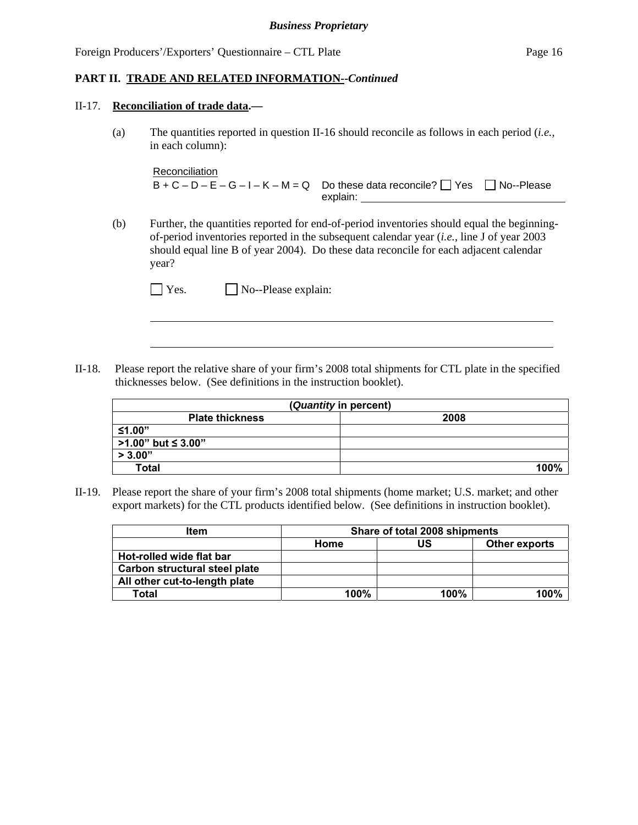#### **PART II. TRADE AND RELATED INFORMATION--***Continued*

#### II-17. **Reconciliation of trade data.—**

 $\overline{a}$ 

(a) The quantities reported in question II-16 should reconcile as follows in each period (*i.e.*, in each column):

```
Reconciliation
B + C - D - E - G - I - K - M = Q Do these data reconcile? \Box Yes \Box No--Please
                                  explain:
```
(b) Further, the quantities reported for end-of-period inventories should equal the beginningof-period inventories reported in the subsequent calendar year (*i.e.*, line J of year 2003 should equal line B of year 2004). Do these data reconcile for each adjacent calendar year?

II-18. Please report the relative share of your firm's 2008 total shipments for CTL plate in the specified thicknesses below. (See definitions in the instruction booklet).

| (Quantity in percent)     |      |  |  |  |
|---------------------------|------|--|--|--|
| <b>Plate thickness</b>    | 2008 |  |  |  |
| ≤1.00"                    |      |  |  |  |
| $\mid$ >1.00" but ≤ 3.00" |      |  |  |  |
| > 3.00"                   |      |  |  |  |
| <b>Total</b>              | 100% |  |  |  |

II-19. Please report the share of your firm's 2008 total shipments (home market; U.S. market; and other export markets) for the CTL products identified below. (See definitions in instruction booklet).

| <b>Item</b>                   | Share of total 2008 shipments |                      |      |  |  |  |
|-------------------------------|-------------------------------|----------------------|------|--|--|--|
|                               | Home                          | <b>Other exports</b> |      |  |  |  |
| Hot-rolled wide flat bar      |                               |                      |      |  |  |  |
| Carbon structural steel plate |                               |                      |      |  |  |  |
| All other cut-to-length plate |                               |                      |      |  |  |  |
| Total                         | 100%                          | 100%                 | 100% |  |  |  |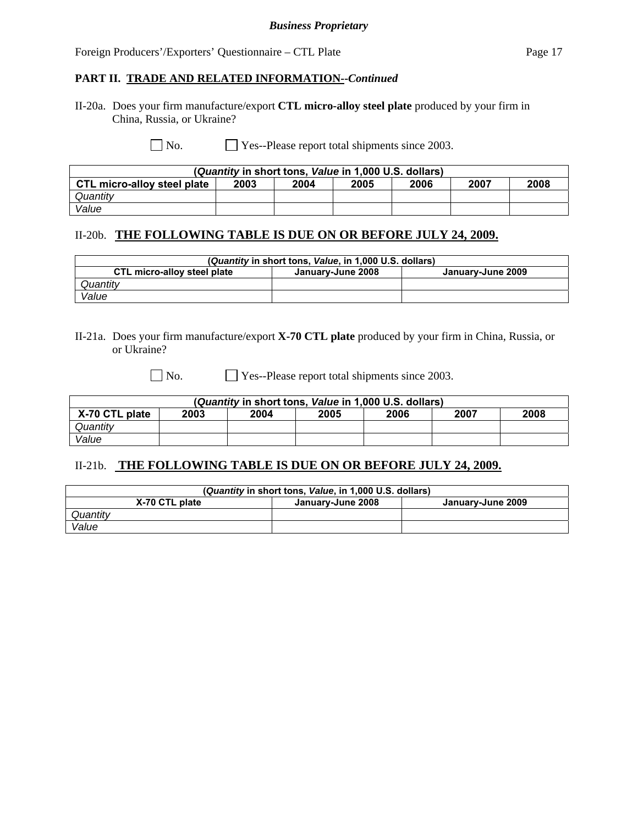## **PART II. TRADE AND RELATED INFORMATION--***Continued*

II-20a. Does your firm manufacture/export **CTL micro-alloy steel plate** produced by your firm in China, Russia, or Ukraine?

No. Yes--Please report total shipments since 2003.

| (Quantity in short tons, Value in 1,000 U.S. dollars) |      |      |      |      |      |      |
|-------------------------------------------------------|------|------|------|------|------|------|
| CTL micro-alloy steel plate                           | 2003 | 2004 | 2005 | 2006 | 2007 | 2008 |
| Quantity                                              |      |      |      |      |      |      |
| Value                                                 |      |      |      |      |      |      |

## II-20b. **THE FOLLOWING TABLE IS DUE ON OR BEFORE JULY 24, 2009.**

| (Quantity in short tons, Value, in 1,000 U.S. dollars)                |  |  |  |  |  |
|-----------------------------------------------------------------------|--|--|--|--|--|
| CTL micro-alloy steel plate<br>January-June 2008<br>January-June 2009 |  |  |  |  |  |
| Quantity                                                              |  |  |  |  |  |
| Value                                                                 |  |  |  |  |  |

## II-21a. Does your firm manufacture/export **X-70 CTL plate** produced by your firm in China, Russia, or or Ukraine?

No. **Solution** Yes--Please report total shipments since 2003.

| (Quantity in short tons, Value in 1,000 U.S. dollars)          |  |  |  |  |  |  |
|----------------------------------------------------------------|--|--|--|--|--|--|
| X-70 CTL plate<br>2008<br>2007<br>2003<br>2005<br>2006<br>2004 |  |  |  |  |  |  |
| Quantitv                                                       |  |  |  |  |  |  |
| Value                                                          |  |  |  |  |  |  |

## II-21b. **THE FOLLOWING TABLE IS DUE ON OR BEFORE JULY 24, 2009.**

| (Quantity in short tons, Value, in 1,000 U.S. dollars)   |  |  |  |  |  |
|----------------------------------------------------------|--|--|--|--|--|
| X-70 CTL plate<br>January-June 2009<br>Januarv-June 2008 |  |  |  |  |  |
| Quantitv                                                 |  |  |  |  |  |
| Value                                                    |  |  |  |  |  |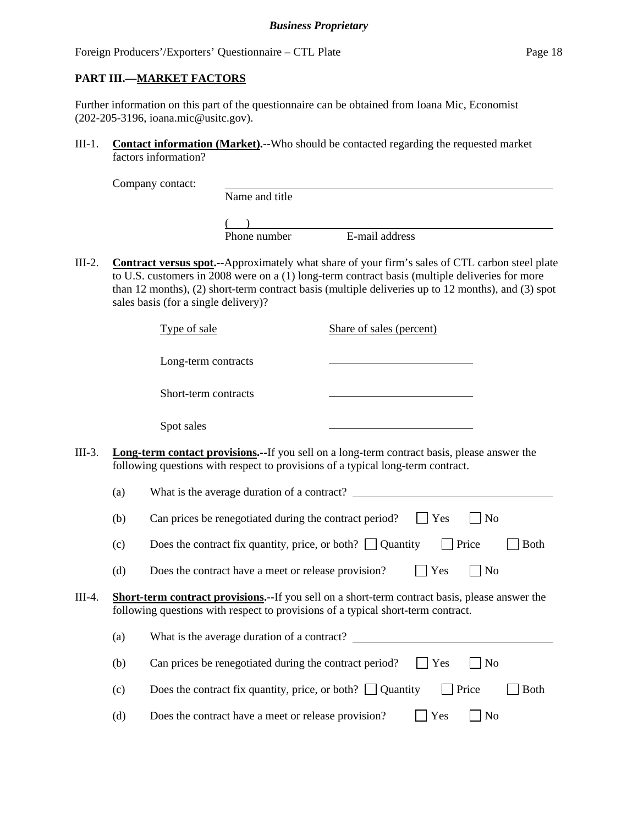## **PART III.—MARKET FACTORS**

Further information on this part of the questionnaire can be obtained from Ioana Mic, Economist (202-205-3196, ioana.mic@usitc.gov).

III-1. **Contact information (Market).--**Who should be contacted regarding the requested market factors information?

| Company contact: |  |
|------------------|--|
|                  |  |

 Name and title  $($ 

Phone number E-mail address

III-2. **Contract versus spot.--**Approximately what share of your firm's sales of CTL carbon steel plate to U.S. customers in 2008 were on a (1) long-term contract basis (multiple deliveries for more than 12 months), (2) short-term contract basis (multiple deliveries up to 12 months), and (3) spot sales basis (for a single delivery)?

Type of sale Share of sales (percent)

Long-term contracts

Short-term contracts

Spot sales

III-3. **Long-term contact provisions.--**If you sell on a long-term contract basis, please answer the following questions with respect to provisions of a typical long-term contract.

|        | (a)                                                                                                                                                                                       | What is the average duration of a contract?                                             |  |  |
|--------|-------------------------------------------------------------------------------------------------------------------------------------------------------------------------------------------|-----------------------------------------------------------------------------------------|--|--|
|        | (b)                                                                                                                                                                                       | Yes<br>Can prices be renegotiated during the contract period?<br>N <sub>0</sub>         |  |  |
|        | (c)                                                                                                                                                                                       | Does the contract fix quantity, price, or both? $\Box$ Quantity<br>Price<br><b>Both</b> |  |  |
|        | (d)                                                                                                                                                                                       | Yes<br>Does the contract have a meet or release provision?<br>N <sub>0</sub>            |  |  |
| III-4. | <b>Short-term contract provisions.--If</b> you sell on a short-term contract basis, please answer the<br>following questions with respect to provisions of a typical short-term contract. |                                                                                         |  |  |
|        | (a)                                                                                                                                                                                       | What is the average duration of a contract?                                             |  |  |
|        | (b)                                                                                                                                                                                       | Can prices be renegotiated during the contract period?<br>Yes<br>No.                    |  |  |
|        | (c)                                                                                                                                                                                       | Price<br>Does the contract fix quantity, price, or both? $\Box$ Quantity<br><b>Both</b> |  |  |
|        |                                                                                                                                                                                           |                                                                                         |  |  |

(d) Does the contract have a meet or release provision?  $\Box$  Yes  $\Box$  No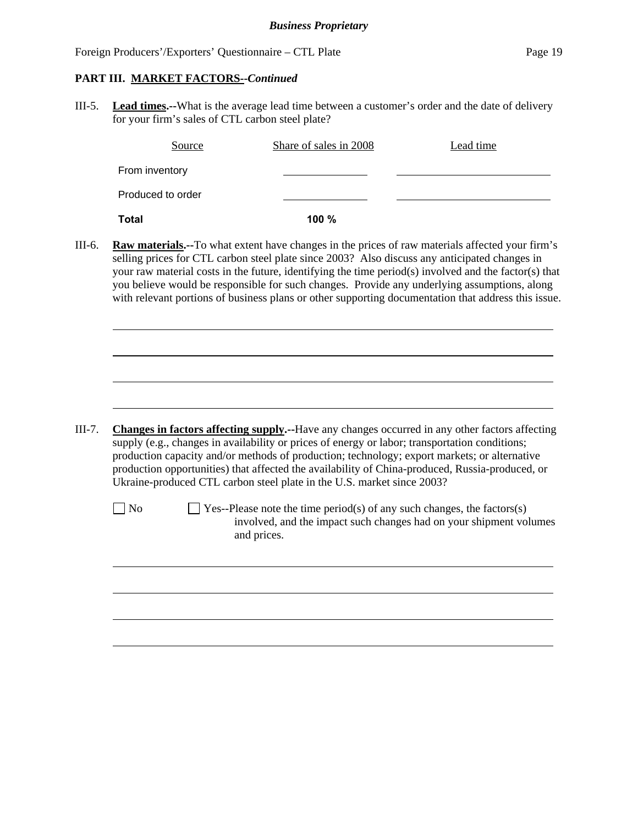### **PART III. MARKET FACTORS--***Continued*

III-5. **Lead times.--**What is the average lead time between a customer's order and the date of delivery for your firm's sales of CTL carbon steel plate?

| Source            | Share of sales in 2008 | Lead time |
|-------------------|------------------------|-----------|
| From inventory    |                        |           |
| Produced to order |                        |           |
| <b>Total</b>      | 100 %                  |           |

III-6. **Raw materials.--**To what extent have changes in the prices of raw materials affected your firm's selling prices for CTL carbon steel plate since 2003? Also discuss any anticipated changes in your raw material costs in the future, identifying the time period(s) involved and the factor(s) that you believe would be responsible for such changes. Provide any underlying assumptions, along with relevant portions of business plans or other supporting documentation that address this issue.

III-7. **Changes in factors affecting supply.--**Have any changes occurred in any other factors affecting supply (e.g., changes in availability or prices of energy or labor; transportation conditions; production capacity and/or methods of production; technology; export markets; or alternative production opportunities) that affected the availability of China-produced, Russia-produced, or Ukraine-produced CTL carbon steel plate in the U.S. market since 2003?

l

 $\overline{a}$ 

 $\Box$  No  $\Box$  Yes--Please note the time period(s) of any such changes, the factors(s) involved, and the impact such changes had on your shipment volumes and prices.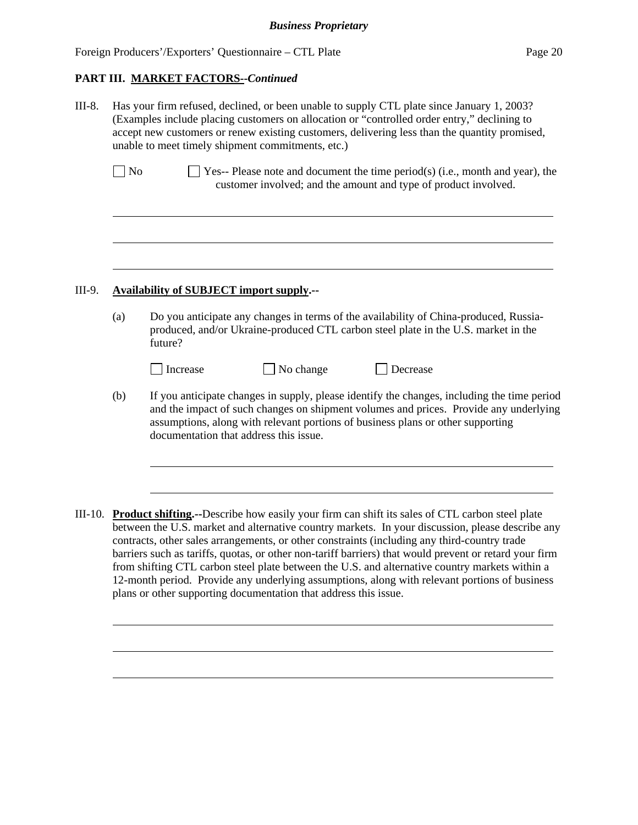#### **PART III. MARKET FACTORS--***Continued*

III-8. Has your firm refused, declined, or been unable to supply CTL plate since January 1, 2003? (Examples include placing customers on allocation or "controlled order entry," declining to accept new customers or renew existing customers, delivering less than the quantity promised, unable to meet timely shipment commitments, etc.)

| N <sub>o</sub> | $\Box$ Yes-- Please note and document the time period(s) (i.e., month and year), the |
|----------------|--------------------------------------------------------------------------------------|
|                | customer involved; and the amount and type of product involved.                      |

### III-9. **Availability of SUBJECT import supply.--**

l

 $\overline{a}$ 

 $\overline{a}$ 

(a) Do you anticipate any changes in terms of the availability of China-produced, Russiaproduced, and/or Ukraine-produced CTL carbon steel plate in the U.S. market in the future?

| l Increase |  |
|------------|--|

No change  $\Box$  Decrease

- (b) If you anticipate changes in supply, please identify the changes, including the time period and the impact of such changes on shipment volumes and prices. Provide any underlying assumptions, along with relevant portions of business plans or other supporting documentation that address this issue.
- III-10. **Product shifting.--**Describe how easily your firm can shift its sales of CTL carbon steel plate between the U.S. market and alternative country markets. In your discussion, please describe any contracts, other sales arrangements, or other constraints (including any third-country trade barriers such as tariffs, quotas, or other non-tariff barriers) that would prevent or retard your firm from shifting CTL carbon steel plate between the U.S. and alternative country markets within a 12-month period. Provide any underlying assumptions, along with relevant portions of business plans or other supporting documentation that address this issue.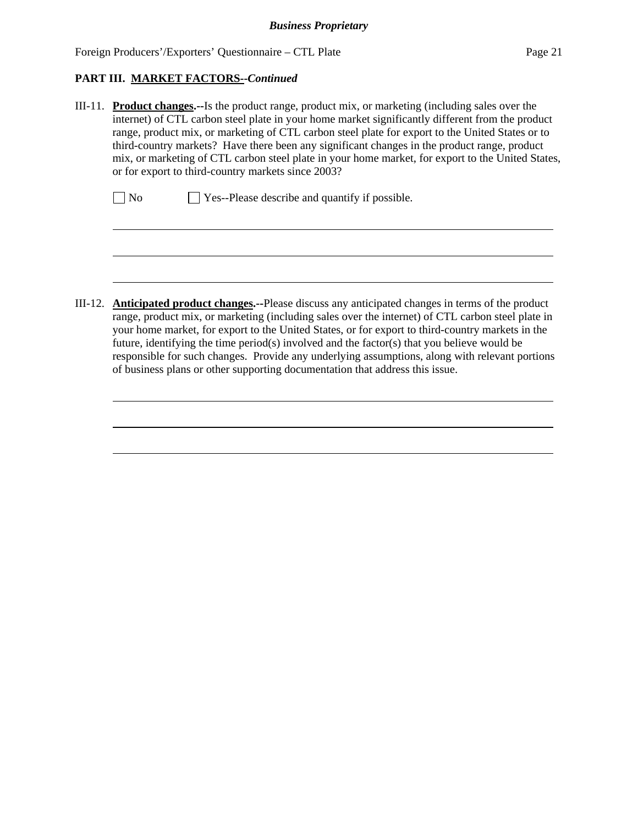## **PART III. MARKET FACTORS--***Continued*

 $\overline{a}$ 

 $\overline{a}$ 

III-11. **Product changes.--**Is the product range, product mix, or marketing (including sales over the internet) of CTL carbon steel plate in your home market significantly different from the product range, product mix, or marketing of CTL carbon steel plate for export to the United States or to third-country markets? Have there been any significant changes in the product range, product mix, or marketing of CTL carbon steel plate in your home market, for export to the United States, or for export to third-country markets since 2003?

| $\Box$ No<br>$\Box$ Yes--Please describe and quantify if possible. |
|--------------------------------------------------------------------|
|--------------------------------------------------------------------|

III-12. **Anticipated product changes.--**Please discuss any anticipated changes in terms of the product range, product mix, or marketing (including sales over the internet) of CTL carbon steel plate in your home market, for export to the United States, or for export to third-country markets in the future, identifying the time period(s) involved and the factor(s) that you believe would be responsible for such changes. Provide any underlying assumptions, along with relevant portions of business plans or other supporting documentation that address this issue.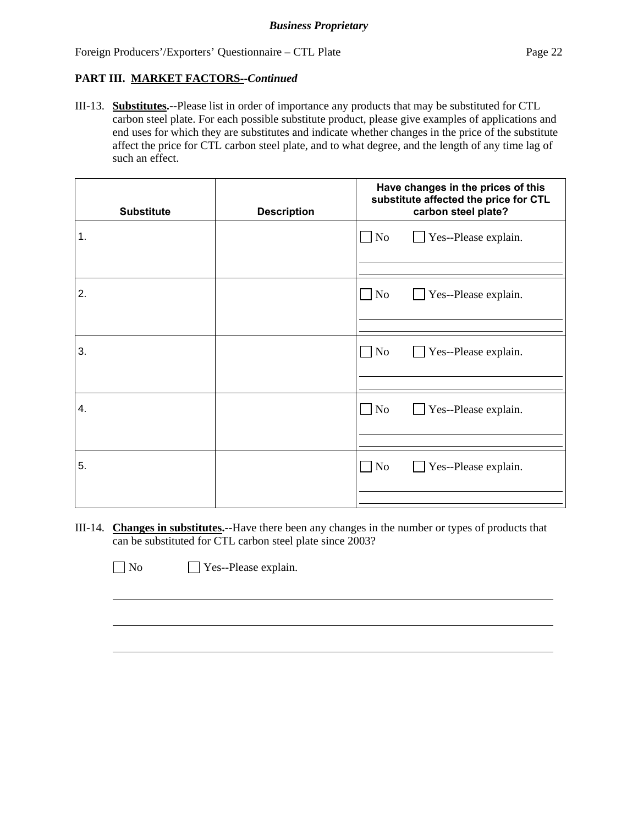## **PART III. MARKET FACTORS--***Continued*

III-13. **Substitutes.--**Please list in order of importance any products that may be substituted for CTL carbon steel plate. For each possible substitute product, please give examples of applications and end uses for which they are substitutes and indicate whether changes in the price of the substitute affect the price for CTL carbon steel plate, and to what degree, and the length of any time lag of such an effect.

| <b>Substitute</b> | <b>Description</b> | Have changes in the prices of this<br>substitute affected the price for CTL<br>carbon steel plate? |
|-------------------|--------------------|----------------------------------------------------------------------------------------------------|
| 1.                |                    | $\Box$ No<br>Yes--Please explain.<br>$\mathbf{I}$                                                  |
| 2.                |                    | $\Box$ No<br>Yes--Please explain.<br>$\mathbf{L}$                                                  |
| 3.                |                    | $\Box$ No<br>Yes--Please explain.<br>$\mathbf{I}$                                                  |
| 4.                |                    | $\Box$ No<br>$\Box$ Yes--Please explain.                                                           |
| 5.                |                    | $\Box$ No<br>$\Box$ Yes--Please explain.                                                           |

III-14. **Changes in substitutes.--**Have there been any changes in the number or types of products that can be substituted for CTL carbon steel plate since 2003?

No Yes--Please explain.

 $\overline{a}$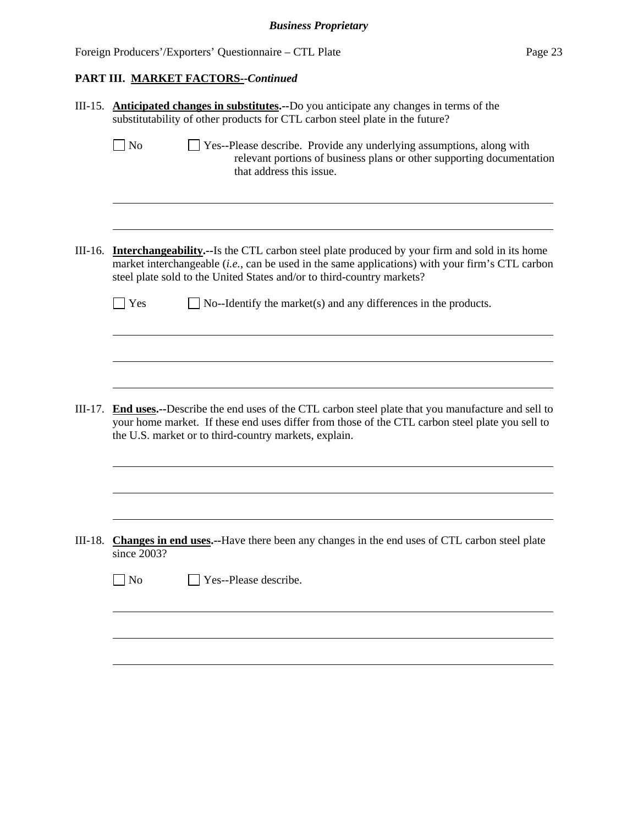## **PART III. MARKET FACTORS--***Continued*

|           | III-15. Anticipated changes in substitutes.--Do you anticipate any changes in terms of the<br>substitutability of other products for CTL carbon steel plate in the future?                                                                                                         |
|-----------|------------------------------------------------------------------------------------------------------------------------------------------------------------------------------------------------------------------------------------------------------------------------------------|
|           | $\Box$ No<br>Yes--Please describe. Provide any underlying assumptions, along with<br>relevant portions of business plans or other supporting documentation<br>that address this issue.                                                                                             |
| III-16.   | <b>Interchangeability.</b> --Is the CTL carbon steel plate produced by your firm and sold in its home<br>market interchangeable (i.e., can be used in the same applications) with your firm's CTL carbon<br>steel plate sold to the United States and/or to third-country markets? |
|           | Yes<br>No--Identify the market(s) and any differences in the products.                                                                                                                                                                                                             |
|           |                                                                                                                                                                                                                                                                                    |
|           |                                                                                                                                                                                                                                                                                    |
| $III-17.$ | <b>End uses.</b> --Describe the end uses of the CTL carbon steel plate that you manufacture and sell to<br>your home market. If these end uses differ from those of the CTL carbon steel plate you sell to<br>the U.S. market or to third-country markets, explain.                |
|           |                                                                                                                                                                                                                                                                                    |
| $III-18.$ | Changes in end uses.--Have there been any changes in the end uses of CTL carbon steel plate<br>since 2003?                                                                                                                                                                         |
|           | $\rfloor$ No<br>Yes--Please describe.                                                                                                                                                                                                                                              |
|           |                                                                                                                                                                                                                                                                                    |
|           |                                                                                                                                                                                                                                                                                    |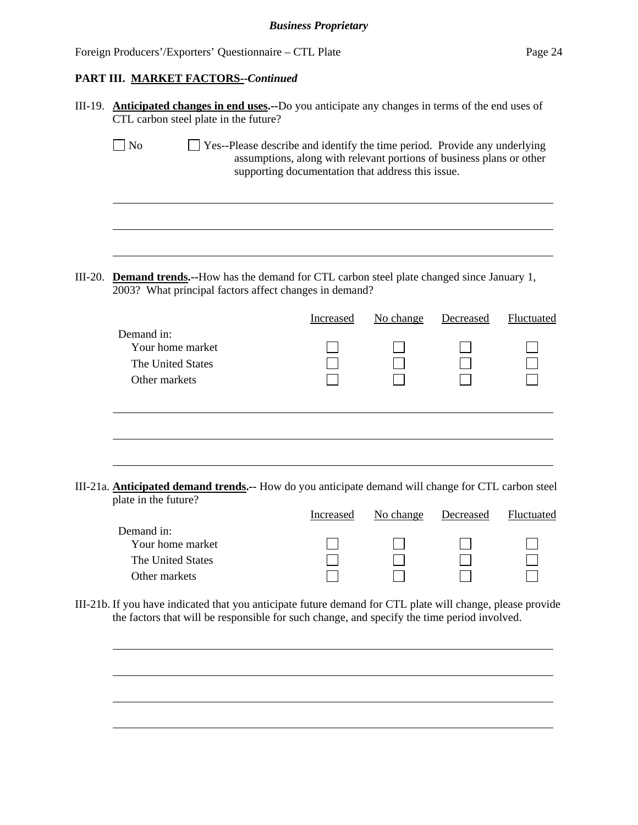## **PART III. MARKET FACTORS--***Continued*

|           | III-19. Anticipated changes in end uses.--Do you anticipate any changes in terms of the end uses of<br>CTL carbon steel plate in the future?                                                                             |           |           |           |            |  |
|-----------|--------------------------------------------------------------------------------------------------------------------------------------------------------------------------------------------------------------------------|-----------|-----------|-----------|------------|--|
|           | N <sub>o</sub><br>Yes--Please describe and identify the time period. Provide any underlying<br>assumptions, along with relevant portions of business plans or other<br>supporting documentation that address this issue. |           |           |           |            |  |
| $III-20.$ | <b>Demand trends.</b> --How has the demand for CTL carbon steel plate changed since January 1,                                                                                                                           |           |           |           |            |  |
|           | 2003? What principal factors affect changes in demand?                                                                                                                                                                   |           |           |           |            |  |
|           | Demand in:                                                                                                                                                                                                               | Increased | No change | Decreased | Fluctuated |  |
|           | Your home market                                                                                                                                                                                                         |           |           |           |            |  |
|           | The United States<br>Other markets                                                                                                                                                                                       |           |           |           |            |  |
|           |                                                                                                                                                                                                                          |           |           |           |            |  |
|           | III-21a. Anticipated demand trends.-- How do you anticipate demand will change for CTL carbon steel                                                                                                                      |           |           |           |            |  |
|           | plate in the future?                                                                                                                                                                                                     | Increased | No change | Decreased | Fluctuated |  |
|           | Demand in:                                                                                                                                                                                                               |           |           |           |            |  |
|           | Your home market                                                                                                                                                                                                         |           |           |           |            |  |
|           | The United States<br>Other markets                                                                                                                                                                                       |           |           |           |            |  |
|           | III-21b. If you have indicated that you anticipate future demand for CTL plate will change, please provide<br>the factors that will be responsible for such change, and specify the time period involved.                |           |           |           |            |  |
|           |                                                                                                                                                                                                                          |           |           |           |            |  |